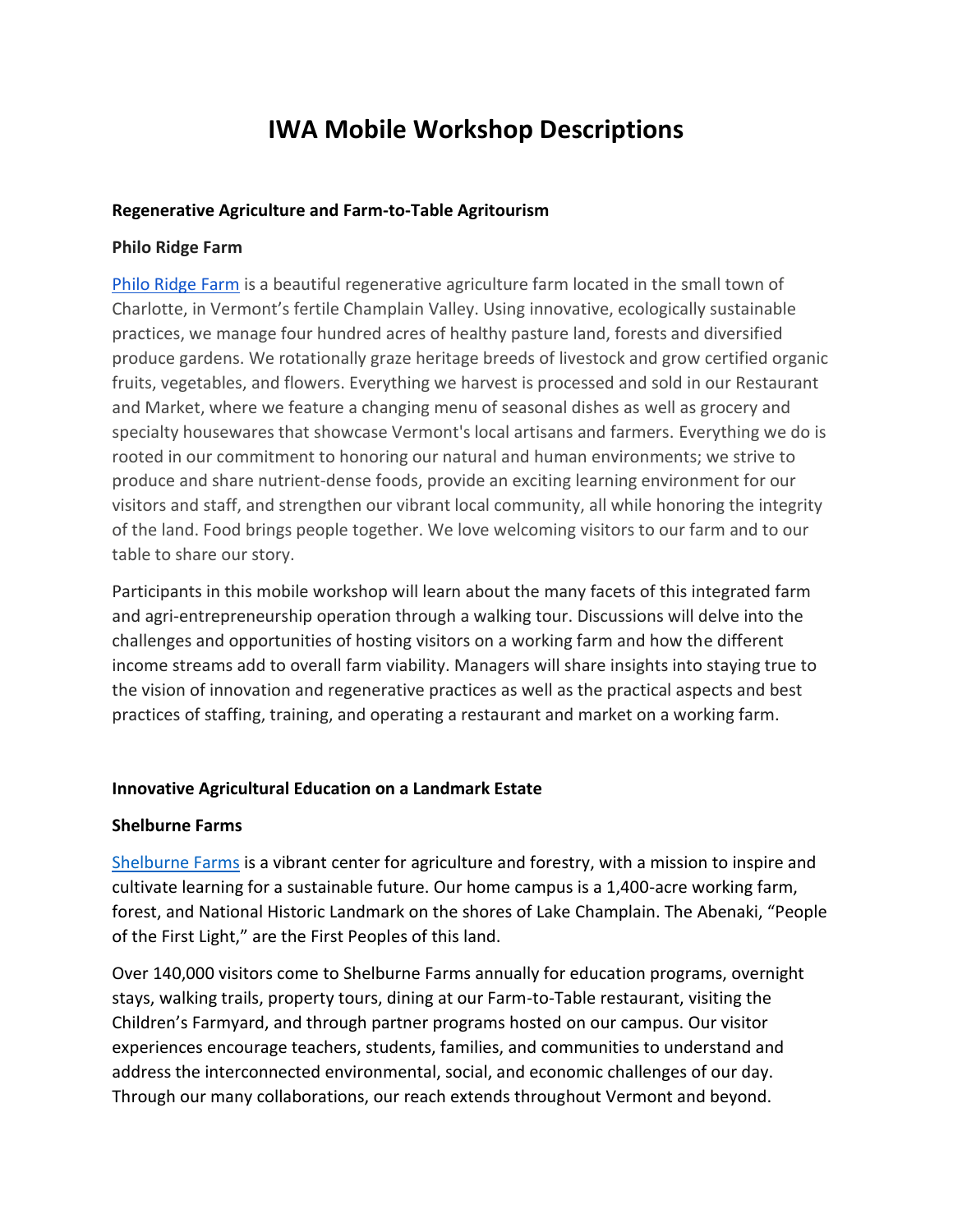# **IWA Mobile Workshop Descriptions**

#### **Regenerative Agriculture and Farm-to-Table Agritourism**

#### **Philo Ridge Farm**

[Philo Ridge Farm](https://www.philoridgefarm.com/) is a beautiful regenerative agriculture farm located in the small town of Charlotte, in Vermont's fertile Champlain Valley. Using innovative, ecologically sustainable practices, we manage four hundred acres of healthy pasture land, forests and diversified produce gardens. We rotationally graze heritage breeds of livestock and grow certified organic fruits, vegetables, and flowers. Everything we harvest is processed and sold in our Restaurant and Market, where we feature a changing menu of seasonal dishes as well as grocery and specialty housewares that showcase Vermont's local artisans and farmers. Everything we do is rooted in our commitment to honoring our natural and human environments; we strive to produce and share nutrient-dense foods, provide an exciting learning environment for our visitors and staff, and strengthen our vibrant local community, all while honoring the integrity of the land. Food brings people together. We love welcoming visitors to our farm and to our table to share our story.

Participants in this mobile workshop will learn about the many facets of this integrated farm and agri-entrepreneurship operation through a walking tour. Discussions will delve into the challenges and opportunities of hosting visitors on a working farm and how the different income streams add to overall farm viability. Managers will share insights into staying true to the vision of innovation and regenerative practices as well as the practical aspects and best practices of staffing, training, and operating a restaurant and market on a working farm.

## **Innovative Agricultural Education on a Landmark Estate**

## **Shelburne Farms**

[Shelburne Farms](https://shelburnefarms.org/) is a vibrant center for agriculture and forestry, with a mission to inspire and cultivate learning for a sustainable future. Our home campus is a 1,400-acre working farm, forest, and National Historic Landmark on the shores of Lake Champlain. The Abenaki, "People of the First Light," are the First Peoples of this land.

Over 140,000 visitors come to Shelburne Farms annually for education programs, overnight stays, walking trails, property tours, dining at our Farm-to-Table restaurant, visiting the Children's Farmyard, and through partner programs hosted on our campus. Our visitor experiences encourage teachers, students, families, and communities to understand and address the interconnected environmental, social, and economic challenges of our day. Through our many collaborations, our reach extends throughout Vermont and beyond.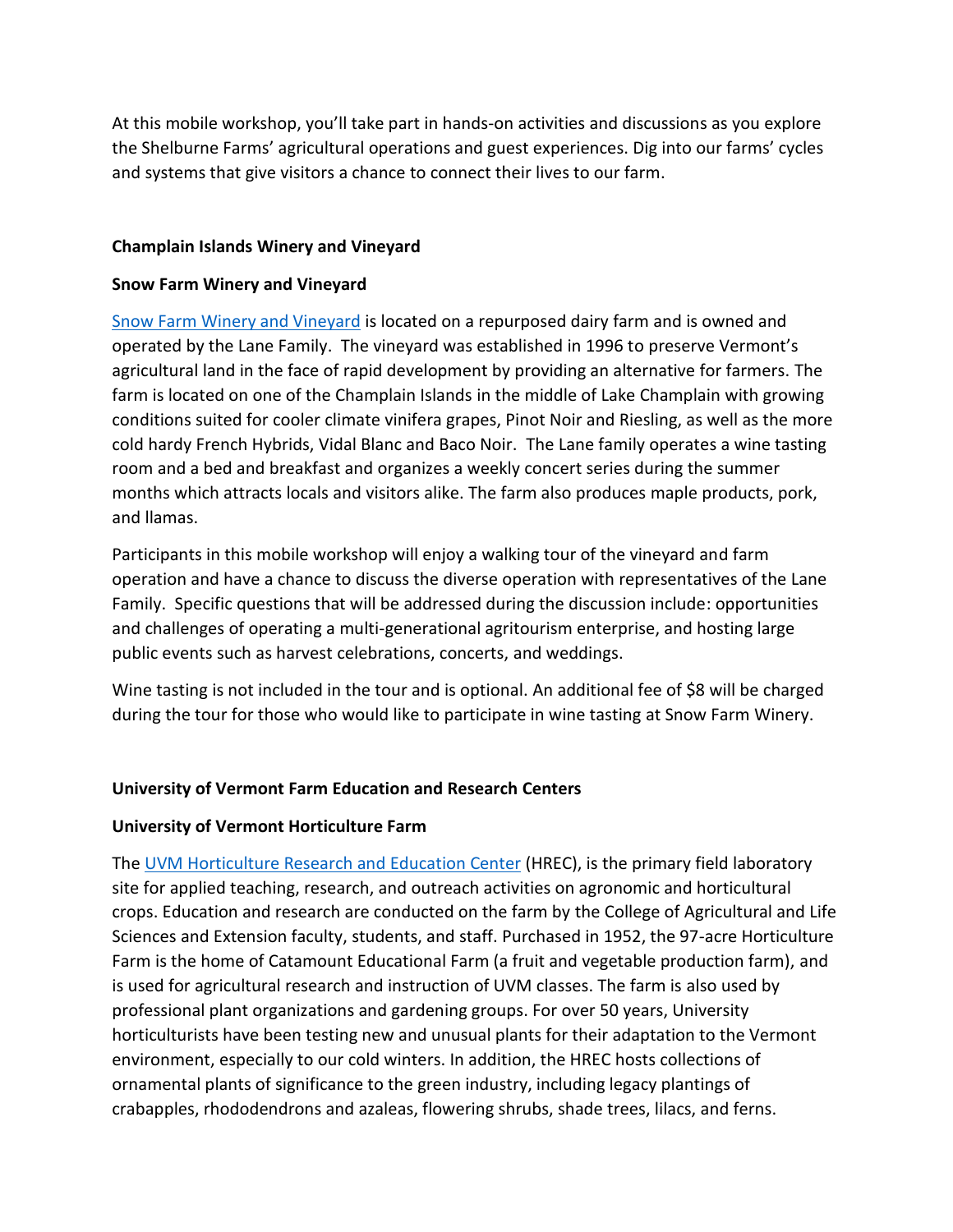At this mobile workshop, you'll take part in hands-on activities and discussions as you explore the Shelburne Farms' agricultural operations and guest experiences. Dig into our farms' cycles and systems that give visitors a chance to connect their lives to our farm.

## **Champlain Islands Winery and Vineyard**

## **Snow Farm Winery and Vineyard**

[Snow Farm Winery and Vineyard](https://www.snowfarm.com/) is located on a repurposed dairy farm and is owned and operated by the Lane Family. The vineyard was established in 1996 to preserve Vermont's agricultural land in the face of rapid development by providing an alternative for farmers. The farm is located on one of the Champlain Islands in the middle of Lake Champlain with growing conditions suited for cooler climate vinifera grapes, Pinot Noir and Riesling, as well as the more cold hardy French Hybrids, Vidal Blanc and Baco Noir. The Lane family operates a wine tasting room and a bed and breakfast and organizes a weekly concert series during the summer months which attracts locals and visitors alike. The farm also produces maple products, pork, and llamas.

Participants in this mobile workshop will enjoy a walking tour of the vineyard and farm operation and have a chance to discuss the diverse operation with representatives of the Lane Family. Specific questions that will be addressed during the discussion include: opportunities and challenges of operating a multi-generational agritourism enterprise, and hosting large public events such as harvest celebrations, concerts, and weddings.

Wine tasting is not included in the tour and is optional. An additional fee of \$8 will be charged during the tour for those who would like to participate in wine tasting at Snow Farm Winery.

# **University of Vermont Farm Education and Research Centers**

## **University of Vermont Horticulture Farm**

The [UVM Horticulture Research and Education Center](https://www.uvm.edu/cals/hrec) (HREC), is the primary field laboratory site for applied teaching, research, and outreach activities on agronomic and horticultural crops. Education and research are conducted on the farm by the College of Agricultural and Life Sciences and Extension faculty, students, and staff. Purchased in 1952, the 97-acre Horticulture Farm is the home of Catamount Educational Farm (a fruit and vegetable production farm), and is used for agricultural research and instruction of UVM classes. The farm is also used by professional plant organizations and gardening groups. For over 50 years, University horticulturists have been testing new and unusual plants for their adaptation to the Vermont environment, especially to our cold winters. In addition, the HREC hosts collections of ornamental plants of significance to the green industry, including legacy plantings of crabapples, rhododendrons and azaleas, flowering shrubs, shade trees, lilacs, and ferns.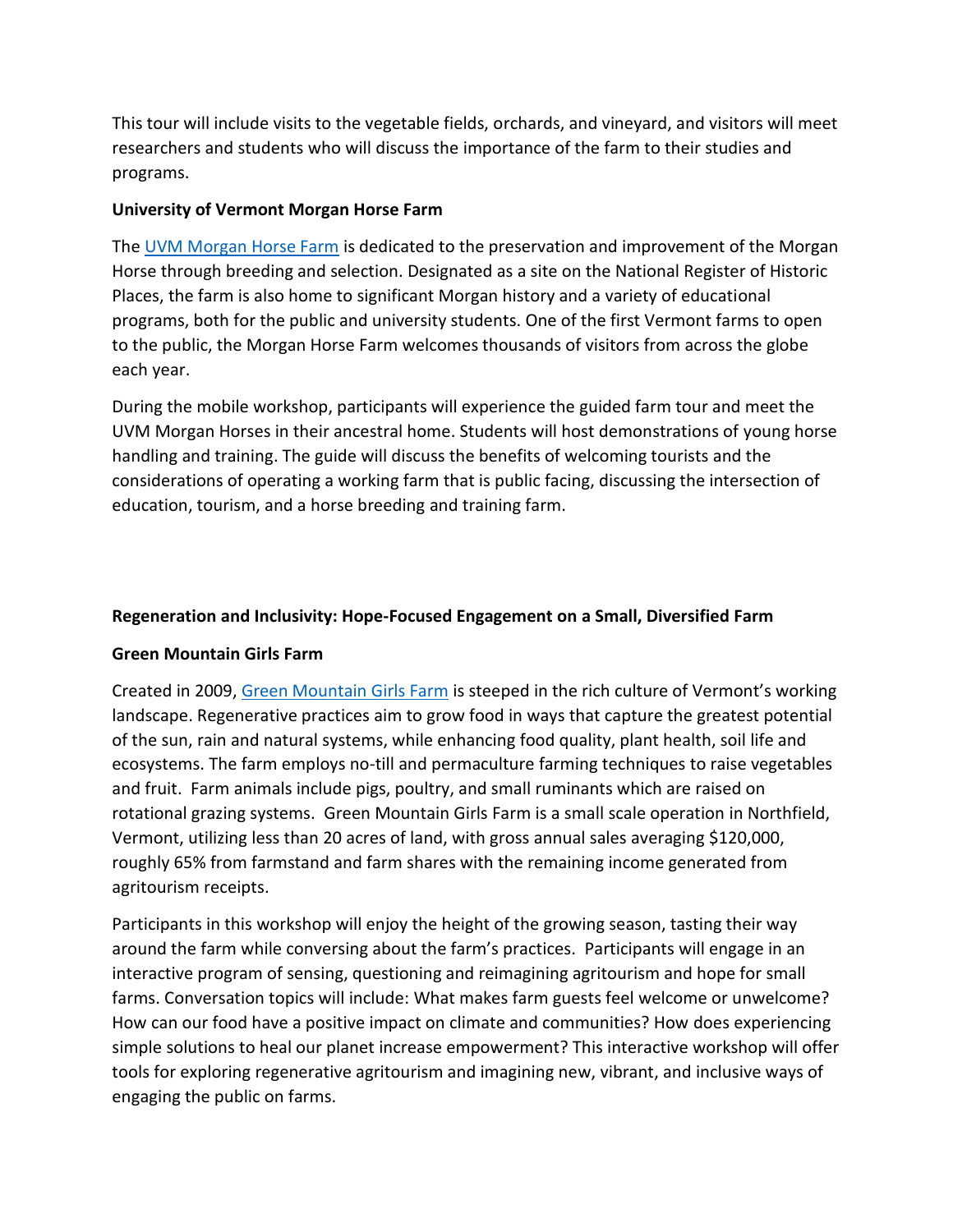This tour will include visits to the vegetable fields, orchards, and vineyard, and visitors will meet researchers and students who will discuss the importance of the farm to their studies and programs.

# **University of Vermont Morgan Horse Farm**

The [UVM Morgan Horse Farm](https://www.uvm.edu/cals/morganhorsefarm) is dedicated to the preservation and improvement of the Morgan Horse through breeding and selection. Designated as a site on the National Register of Historic Places, the farm is also home to significant Morgan history and a variety of educational programs, both for the public and university students. One of the first Vermont farms to open to the public, the Morgan Horse Farm welcomes thousands of visitors from across the globe each year.

During the mobile workshop, participants will experience the guided farm tour and meet the UVM Morgan Horses in their ancestral home. Students will host demonstrations of young horse handling and training. The guide will discuss the benefits of welcoming tourists and the considerations of operating a working farm that is public facing, discussing the intersection of education, tourism, and a horse breeding and training farm.

# **Regeneration and Inclusivity: Hope-Focused Engagement on a Small, Diversified Farm**

## **Green Mountain Girls Farm**

Created in 2009, [Green Mountain Girls Farm](http://eatstayfarm.com/) is steeped in the rich culture of Vermont's working landscape. Regenerative practices aim to grow food in ways that capture the greatest potential of the sun, rain and natural systems, while enhancing food quality, plant health, soil life and ecosystems. The farm employs no-till and permaculture farming techniques to raise vegetables and fruit. Farm animals include pigs, poultry, and small ruminants which are raised on rotational grazing systems. Green Mountain Girls Farm is a small scale operation in Northfield, Vermont, utilizing less than 20 acres of land, with gross annual sales averaging \$120,000, roughly 65% from farmstand and farm shares with the remaining income generated from agritourism receipts.

Participants in this workshop will enjoy the height of the growing season, tasting their way around the farm while conversing about the farm's practices. Participants will engage in an interactive program of sensing, questioning and reimagining agritourism and hope for small farms. Conversation topics will include: What makes farm guests feel welcome or unwelcome? How can our food have a positive impact on climate and communities? How does experiencing simple solutions to heal our planet increase empowerment? This interactive workshop will offer tools for exploring regenerative agritourism and imagining new, vibrant, and inclusive ways of engaging the public on farms.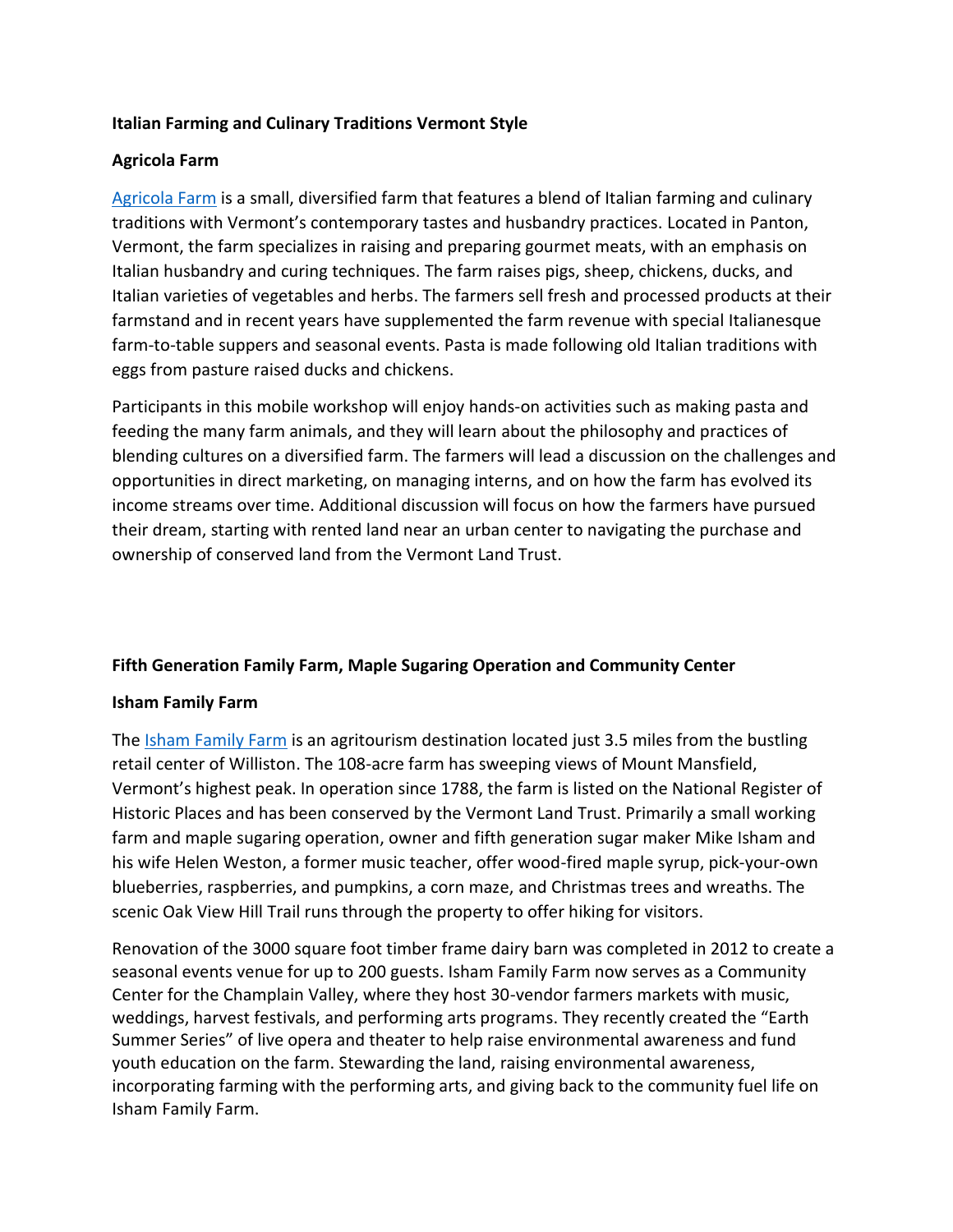## **Italian Farming and Culinary Traditions Vermont Style**

## **Agricola Farm**

[Agricola Farm](http://www.agricolavermont.com/) is a small, diversified farm that features a blend of Italian farming and culinary traditions with Vermont's contemporary tastes and husbandry practices. Located in Panton, Vermont, the farm specializes in raising and preparing gourmet meats, with an emphasis on Italian husbandry and curing techniques. The farm raises pigs, sheep, chickens, ducks, and Italian varieties of vegetables and herbs. The farmers sell fresh and processed products at their farmstand and in recent years have supplemented the farm revenue with special Italianesque farm-to-table suppers and seasonal events. Pasta is made following old Italian traditions with eggs from pasture raised ducks and chickens.

Participants in this mobile workshop will enjoy hands-on activities such as making pasta and feeding the many farm animals, and they will learn about the philosophy and practices of blending cultures on a diversified farm. The farmers will lead a discussion on the challenges and opportunities in direct marketing, on managing interns, and on how the farm has evolved its income streams over time. Additional discussion will focus on how the farmers have pursued their dream, starting with rented land near an urban center to navigating the purchase and ownership of conserved land from the Vermont Land Trust.

# **Fifth Generation Family Farm, Maple Sugaring Operation and Community Center**

## **Isham Family Farm**

The [Isham Family Farm](https://ishamfamilyfarm.com/) is an agritourism destination located just 3.5 miles from the bustling retail center of Williston. The 108-acre farm has sweeping views of Mount Mansfield, Vermont's highest peak. In operation since 1788, the farm is listed on the National Register of Historic Places and has been conserved by the Vermont Land Trust. Primarily a small working farm and maple sugaring operation, owner and fifth generation sugar maker Mike Isham and his wife Helen Weston, a former music teacher, offer wood-fired maple syrup, pick-your-own blueberries, raspberries, and pumpkins, a corn maze, and Christmas trees and wreaths. The scenic Oak View Hill Trail runs through the property to offer hiking for visitors.

Renovation of the 3000 square foot timber frame dairy barn was completed in 2012 to create a seasonal events venue for up to 200 guests. Isham Family Farm now serves as a Community Center for the Champlain Valley, where they host 30-vendor farmers markets with music, weddings, harvest festivals, and performing arts programs. They recently created the "Earth Summer Series" of live opera and theater to help raise environmental awareness and fund youth education on the farm. Stewarding the land, raising environmental awareness, incorporating farming with the performing arts, and giving back to the community fuel life on Isham Family Farm.